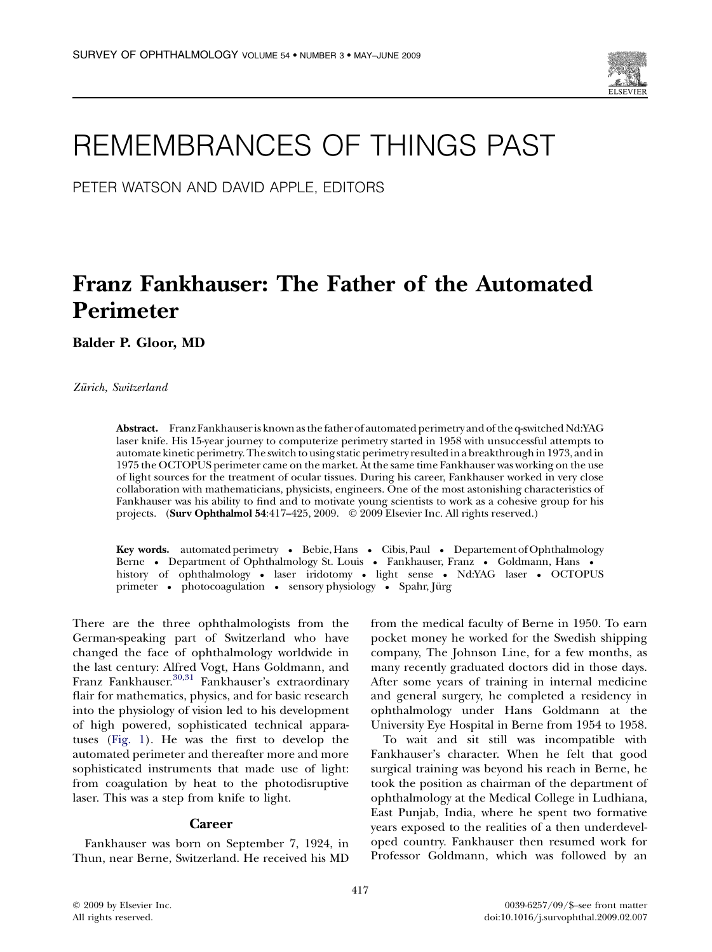

# REMEMBRANCES OF THINGS PAST

PETER WATSON AND DAVID APPLE, EDITORS

# Franz Fankhauser: The Father of the Automated Perimeter

Balder P. Gloor, MD

Zürich, Switzerland

Abstract. Franz Fankhauser is known as the father of automated perimetry and of the q-switched Nd:YAG laser knife. His 15-year journey to computerize perimetry started in 1958 with unsuccessful attempts to automate kinetic perimetry. The switch to using static perimetry resulted in a breakthrough in 1973, and in 1975 the OCTOPUS perimeter came on the market. At the same time Fankhauser was working on the use of light sources for the treatment of ocular tissues. During his career, Fankhauser worked in very close collaboration with mathematicians, physicists, engineers. One of the most astonishing characteristics of Fankhauser was his ability to find and to motivate young scientists to work as a cohesive group for his projects. (Surv Ophthalmol 54:417-425, 2009. © 2009 Elsevier Inc. All rights reserved.)

Key words. automated perimetry • Bebie, Hans • Cibis, Paul • Departement of Ophthalmology Berne • Department of Ophthalmology St. Louis • Fankhauser, Franz • Goldmann, Hans • history of ophthalmology - laser iridotomy - light sense - Nd:YAG laser - OCTOPUS primeter • photocoagulation • sensory physiology • Spahr, Jürg

There are the three ophthalmologists from the German-speaking part of Switzerland who have changed the face of ophthalmology worldwide in the last century: Alfred Vogt, Hans Goldmann, and Franz Fankhauser.[30,31](#page-8-0) Fankhauser's extraordinary flair for mathematics, physics, and for basic research into the physiology of vision led to his development of high powered, sophisticated technical apparatuses ([Fig. 1](#page-1-0)). He was the first to develop the automated perimeter and thereafter more and more sophisticated instruments that made use of light: from coagulation by heat to the photodisruptive laser. This was a step from knife to light.

## **Career**

Fankhauser was born on September 7, 1924, in Thun, near Berne, Switzerland. He received his MD from the medical faculty of Berne in 1950. To earn pocket money he worked for the Swedish shipping company, The Johnson Line, for a few months, as many recently graduated doctors did in those days. After some years of training in internal medicine and general surgery, he completed a residency in ophthalmology under Hans Goldmann at the University Eye Hospital in Berne from 1954 to 1958.

To wait and sit still was incompatible with Fankhauser's character. When he felt that good surgical training was beyond his reach in Berne, he took the position as chairman of the department of ophthalmology at the Medical College in Ludhiana, East Punjab, India, where he spent two formative years exposed to the realities of a then underdeveloped country. Fankhauser then resumed work for Professor Goldmann, which was followed by an

 $©$  2009 by Elsevier Inc. All rights reserved.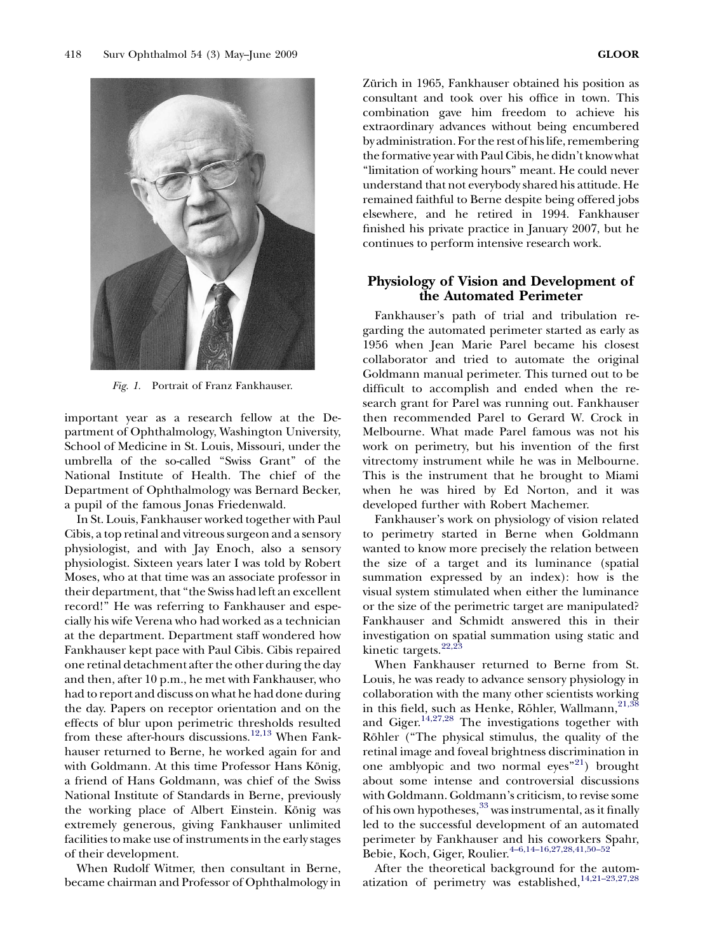<span id="page-1-0"></span>

Fig. 1. Portrait of Franz Fankhauser.

important year as a research fellow at the Department of Ophthalmology, Washington University, School of Medicine in St. Louis, Missouri, under the umbrella of the so-called ''Swiss Grant'' of the National Institute of Health. The chief of the Department of Ophthalmology was Bernard Becker, a pupil of the famous Jonas Friedenwald.

In St. Louis, Fankhauser worked together with Paul Cibis, a top retinal and vitreous surgeon and a sensory physiologist, and with Jay Enoch, also a sensory physiologist. Sixteen years later I was told by Robert Moses, who at that time was an associate professor in their department, that ''the Swiss had left an excellent record!'' He was referring to Fankhauser and especially his wife Verena who had worked as a technician at the department. Department staff wondered how Fankhauser kept pace with Paul Cibis. Cibis repaired one retinal detachment after the other during the day and then, after 10 p.m., he met with Fankhauser, who had to report and discuss on what he had done during the day. Papers on receptor orientation and on the effects of blur upon perimetric thresholds resulted from these after-hours discussions.<sup>[12,13](#page-7-0)</sup> When Fankhauser returned to Berne, he worked again for and with Goldmann. At this time Professor Hans König, a friend of Hans Goldmann, was chief of the Swiss National Institute of Standards in Berne, previously the working place of Albert Einstein. König was extremely generous, giving Fankhauser unlimited facilities to make use of instruments in the early stages of their development.

When Rudolf Witmer, then consultant in Berne, became chairman and Professor of Ophthalmology in Zürich in 1965, Fankhauser obtained his position as consultant and took over his office in town. This combination gave him freedom to achieve his extraordinary advances without being encumbered by administration. For the rest of his life, remembering the formative year with Paul Cibis, he didn't know what ''limitation of working hours'' meant. He could never understand that not everybody shared his attitude. He remained faithful to Berne despite being offered jobs elsewhere, and he retired in 1994. Fankhauser finished his private practice in January 2007, but he continues to perform intensive research work.

# Physiology of Vision and Development of the Automated Perimeter

Fankhauser's path of trial and tribulation regarding the automated perimeter started as early as 1956 when Jean Marie Parel became his closest collaborator and tried to automate the original Goldmann manual perimeter. This turned out to be difficult to accomplish and ended when the research grant for Parel was running out. Fankhauser then recommended Parel to Gerard W. Crock in Melbourne. What made Parel famous was not his work on perimetry, but his invention of the first vitrectomy instrument while he was in Melbourne. This is the instrument that he brought to Miami when he was hired by Ed Norton, and it was developed further with Robert Machemer.

Fankhauser's work on physiology of vision related to perimetry started in Berne when Goldmann wanted to know more precisely the relation between the size of a target and its luminance (spatial summation expressed by an index): how is the visual system stimulated when either the luminance or the size of the perimetric target are manipulated? Fankhauser and Schmidt answered this in their investigation on spatial summation using static and kinetic targets.<sup>[22,23](#page-8-0)</sup>

When Fankhauser returned to Berne from St. Louis, he was ready to advance sensory physiology in collaboration with the many other scientists working in this field, such as Henke, Röhler, Wallmann, $21,38$ and Giger.<sup>[14,27,28](#page-7-0)</sup> The investigations together with Röhler ("The physical stimulus, the quality of the retinal image and foveal brightness discrimination in one amblyopic and two normal eyes<sup>"21</sup>) brought about some intense and controversial discussions with Goldmann. Goldmann's criticism, to revise some of his own hypotheses,<sup>[33](#page-8-0)</sup> was instrumental, as it finally led to the successful development of an automated perimeter by Fankhauser and his coworkers Spahr, Bebie, Koch, Giger, Roulier.<sup>4-6,14-16,27,28,41,50-52</sup>

After the theoretical background for the automatization of perimetry was established, $14,21-23,27,28$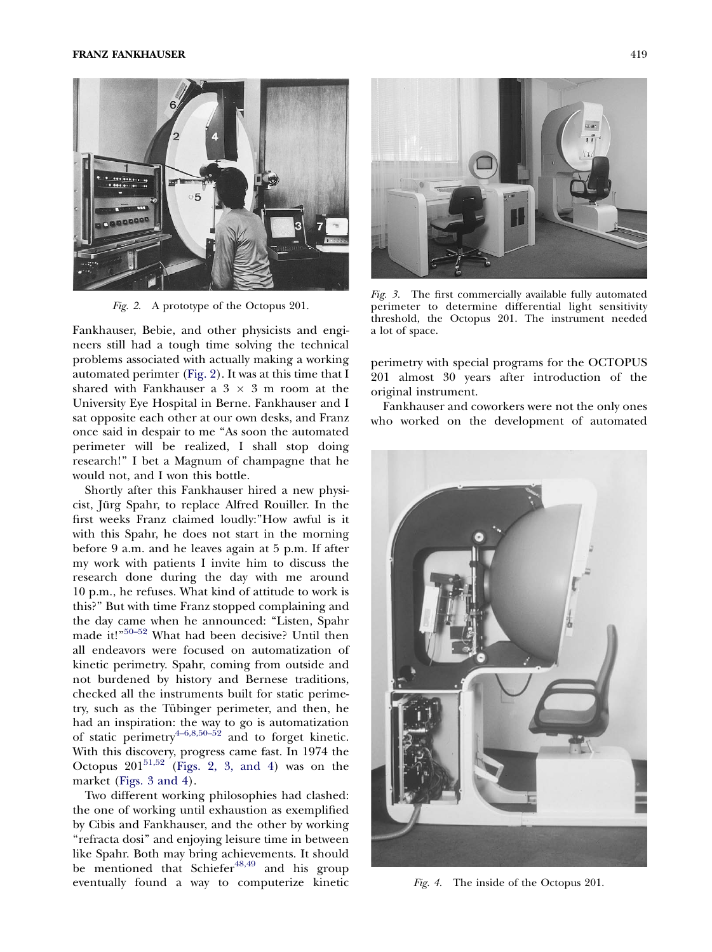<span id="page-2-0"></span>

Fig. 2. A prototype of the Octopus 201.

Fankhauser, Bebie, and other physicists and engineers still had a tough time solving the technical problems associated with actually making a working automated perimter (Fig. 2). It was at this time that I shared with Fankhauser a  $3 \times 3$  m room at the University Eye Hospital in Berne. Fankhauser and I sat opposite each other at our own desks, and Franz once said in despair to me ''As soon the automated perimeter will be realized, I shall stop doing research!'' I bet a Magnum of champagne that he would not, and I won this bottle.

Shortly after this Fankhauser hired a new physicist, Jürg Spahr, to replace Alfred Rouiller. In the first weeks Franz claimed loudly:''How awful is it with this Spahr, he does not start in the morning before 9 a.m. and he leaves again at 5 p.m. If after my work with patients I invite him to discuss the research done during the day with me around 10 p.m., he refuses. What kind of attitude to work is this?'' But with time Franz stopped complaining and the day came when he announced: ''Listen, Spahr made it!" $50-52$  What had been decisive? Until then all endeavors were focused on automatization of kinetic perimetry. Spahr, coming from outside and not burdened by history and Bernese traditions, checked all the instruments built for static perimetry, such as the Tübinger perimeter, and then, he had an inspiration: the way to go is automatization of static perimetry $4-6,8,50-52$  and to forget kinetic. With this discovery, progress came fast. In 1974 the Octopus  $201^{51,52}$  $201^{51,52}$  $201^{51,52}$  (Figs. 2, 3, and 4) was on the market (Figs. 3 and 4).

Two different working philosophies had clashed: the one of working until exhaustion as exemplified by Cibis and Fankhauser, and the other by working ''refracta dosi'' and enjoying leisure time in between like Spahr. Both may bring achievements. It should be mentioned that Schiefer $48,49$  and his group eventually found a way to computerize kinetic

![](_page_2_Picture_6.jpeg)

Fig. 3. The first commercially available fully automated perimeter to determine differential light sensitivity threshold, the Octopus 201. The instrument needed a lot of space.

perimetry with special programs for the OCTOPUS 201 almost 30 years after introduction of the original instrument.

Fankhauser and coworkers were not the only ones who worked on the development of automated

![](_page_2_Picture_10.jpeg)

Fig. 4. The inside of the Octopus 201.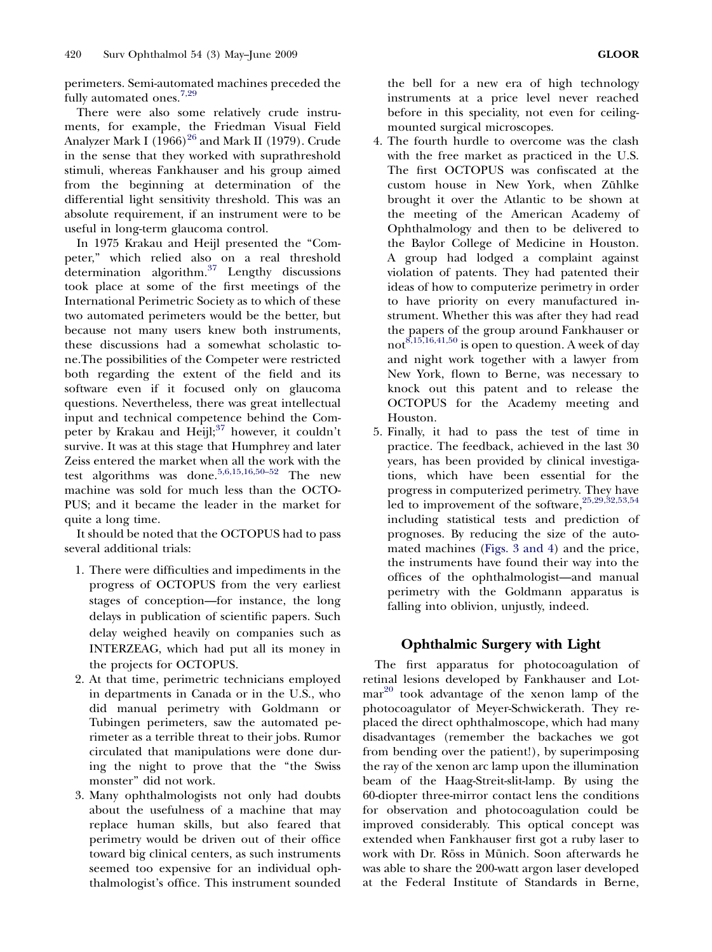perimeters. Semi-automated machines preceded the fully automated ones.<sup>[7,29](#page-7-0)</sup>

There were also some relatively crude instruments, for example, the Friedman Visual Field Analyzer Mark I  $(1966)^{26}$  $(1966)^{26}$  $(1966)^{26}$  and Mark II (1979). Crude in the sense that they worked with suprathreshold stimuli, whereas Fankhauser and his group aimed from the beginning at determination of the differential light sensitivity threshold. This was an absolute requirement, if an instrument were to be useful in long-term glaucoma control.

In 1975 Krakau and Heijl presented the ''Competer,'' which relied also on a real threshold determination algorithm.[37](#page-8-0) Lengthy discussions took place at some of the first meetings of the International Perimetric Society as to which of these two automated perimeters would be the better, but because not many users knew both instruments, these discussions had a somewhat scholastic tone.The possibilities of the Competer were restricted both regarding the extent of the field and its software even if it focused only on glaucoma questions. Nevertheless, there was great intellectual input and technical competence behind the Competer by Krakau and Heijl; $37$  however, it couldn't survive. It was at this stage that Humphrey and later Zeiss entered the market when all the work with the test algorithms was done.<sup>5,6,15,16,50-52</sup> The new machine was sold for much less than the OCTO-PUS; and it became the leader in the market for quite a long time.

It should be noted that the OCTOPUS had to pass several additional trials:

- 1. There were difficulties and impediments in the progress of OCTOPUS from the very earliest stages of conception—for instance, the long delays in publication of scientific papers. Such delay weighed heavily on companies such as INTERZEAG, which had put all its money in the projects for OCTOPUS.
- 2. At that time, perimetric technicians employed in departments in Canada or in the U.S., who did manual perimetry with Goldmann or Tubingen perimeters, saw the automated perimeter as a terrible threat to their jobs. Rumor circulated that manipulations were done during the night to prove that the ''the Swiss monster'' did not work.
- 3. Many ophthalmologists not only had doubts about the usefulness of a machine that may replace human skills, but also feared that perimetry would be driven out of their office toward big clinical centers, as such instruments seemed too expensive for an individual ophthalmologist's office. This instrument sounded

the bell for a new era of high technology instruments at a price level never reached before in this speciality, not even for ceilingmounted surgical microscopes.

- 4. The fourth hurdle to overcome was the clash with the free market as practiced in the U.S. The first OCTOPUS was confiscated at the custom house in New York, when Zühlke brought it over the Atlantic to be shown at the meeting of the American Academy of Ophthalmology and then to be delivered to the Baylor College of Medicine in Houston. A group had lodged a complaint against violation of patents. They had patented their ideas of how to computerize perimetry in order to have priority on every manufactured instrument. Whether this was after they had read the papers of the group around Fankhauser or not<sup>[8,15,16,41,50](#page-7-0)</sup> is open to question. A week of day and night work together with a lawyer from New York, flown to Berne, was necessary to knock out this patent and to release the OCTOPUS for the Academy meeting and Houston.
- 5. Finally, it had to pass the test of time in practice. The feedback, achieved in the last 30 years, has been provided by clinical investigations, which have been essential for the progress in computerized perimetry. They have led to improvement of the software,<sup>25,29,32,53,54</sup> including statistical tests and prediction of prognoses. By reducing the size of the automated machines [\(Figs. 3 and 4](#page-2-0)) and the price, the instruments have found their way into the offices of the ophthalmologist—and manual perimetry with the Goldmann apparatus is falling into oblivion, unjustly, indeed.

# Ophthalmic Surgery with Light

The first apparatus for photocoagulation of retinal lesions developed by Fankhauser and Lot- $mar<sup>20</sup>$  $mar<sup>20</sup>$  $mar<sup>20</sup>$  took advantage of the xenon lamp of the photocoagulator of Meyer-Schwickerath. They replaced the direct ophthalmoscope, which had many disadvantages (remember the backaches we got from bending over the patient!), by superimposing the ray of the xenon arc lamp upon the illumination beam of the Haag-Streit-slit-lamp. By using the 60-diopter three-mirror contact lens the conditions for observation and photocoagulation could be improved considerably. This optical concept was extended when Fankhauser first got a ruby laser to work with Dr. Röss in Münich. Soon afterwards he was able to share the 200-watt argon laser developed at the Federal Institute of Standards in Berne,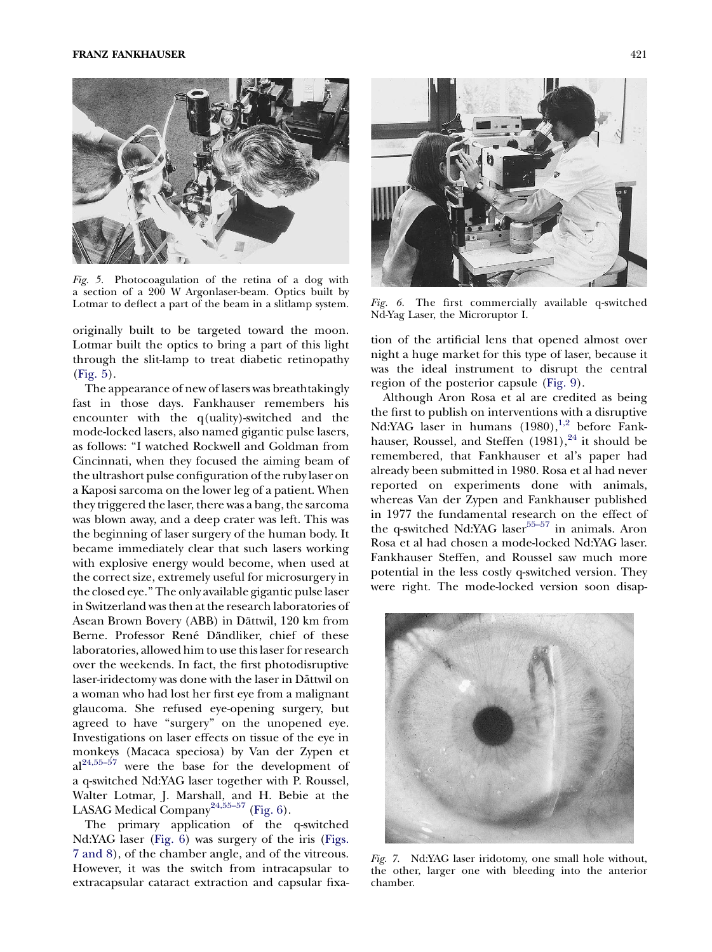<span id="page-4-0"></span>![](_page_4_Picture_1.jpeg)

Fig. 5. Photocoagulation of the retina of a dog with a section of a 200 W Argonlaser-beam. Optics built by Lotmar to deflect a part of the beam in a slitlamp system. Fig. 6. The first commercially available q-switched

originally built to be targeted toward the moon. Lotmar built the optics to bring a part of this light through the slit-lamp to treat diabetic retinopathy (Fig. 5).

The appearance of new of lasers was breathtakingly fast in those days. Fankhauser remembers his encounter with the q(uality)-switched and the mode-locked lasers, also named gigantic pulse lasers, as follows: ''I watched Rockwell and Goldman from Cincinnati, when they focused the aiming beam of the ultrashort pulse configuration of the ruby laser on a Kaposi sarcoma on the lower leg of a patient. When they triggered the laser, there was a bang, the sarcoma was blown away, and a deep crater was left. This was the beginning of laser surgery of the human body. It became immediately clear that such lasers working with explosive energy would become, when used at the correct size, extremely useful for microsurgery in the closed eye.'' The only available gigantic pulse laser in Switzerland was then at the research laboratories of Asean Brown Bovery (ABB) in Dättwil, 120 km from Berne. Professor René Dändliker, chief of these laboratories, allowed him to use this laser for research over the weekends. In fact, the first photodisruptive laser-iridectomy was done with the laser in Dättwil on a woman who had lost her first eye from a malignant glaucoma. She refused eye-opening surgery, but agreed to have "surgery" on the unopened eye. Investigations on laser effects on tissue of the eye in monkeys (Macaca speciosa) by Van der Zypen et  $al^{24,55-57}$  were the base for the development of a q-switched Nd:YAG laser together with P. Roussel, Walter Lotmar, J. Marshall, and H. Bebie at the LASAG Medical Company<sup>24,55-57</sup> (Fig. 6).

The primary application of the q-switched Nd:YAG laser (Fig. 6) was surgery of the iris (Figs. 7 and 8), of the chamber angle, and of the vitreous. However, it was the switch from intracapsular to extracapsular cataract extraction and capsular fixa-

![](_page_4_Picture_6.jpeg)

Nd-Yag Laser, the Microruptor I.

tion of the artificial lens that opened almost over night a huge market for this type of laser, because it was the ideal instrument to disrupt the central region of the posterior capsule [\(Fig. 9\)](#page-5-0).

Although Aron Rosa et al are credited as being the first to publish on interventions with a disruptive Nd:YAG laser in humans (1980),<sup>[1,2](#page-7-0)</sup> before Fankhauser, Roussel, and Steffen  $(1981)$ ,  $^{24}$  $^{24}$  $^{24}$  it should be remembered, that Fankhauser et al's paper had already been submitted in 1980. Rosa et al had never reported on experiments done with animals, whereas Van der Zypen and Fankhauser published in 1977 the fundamental research on the effect of the q-switched Nd:YAG laser $55-57$  in animals. Aron Rosa et al had chosen a mode-locked Nd:YAG laser. Fankhauser Steffen, and Roussel saw much more potential in the less costly q-switched version. They were right. The mode-locked version soon disap-

![](_page_4_Picture_10.jpeg)

Fig. 7. Nd:YAG laser iridotomy, one small hole without, the other, larger one with bleeding into the anterior chamber.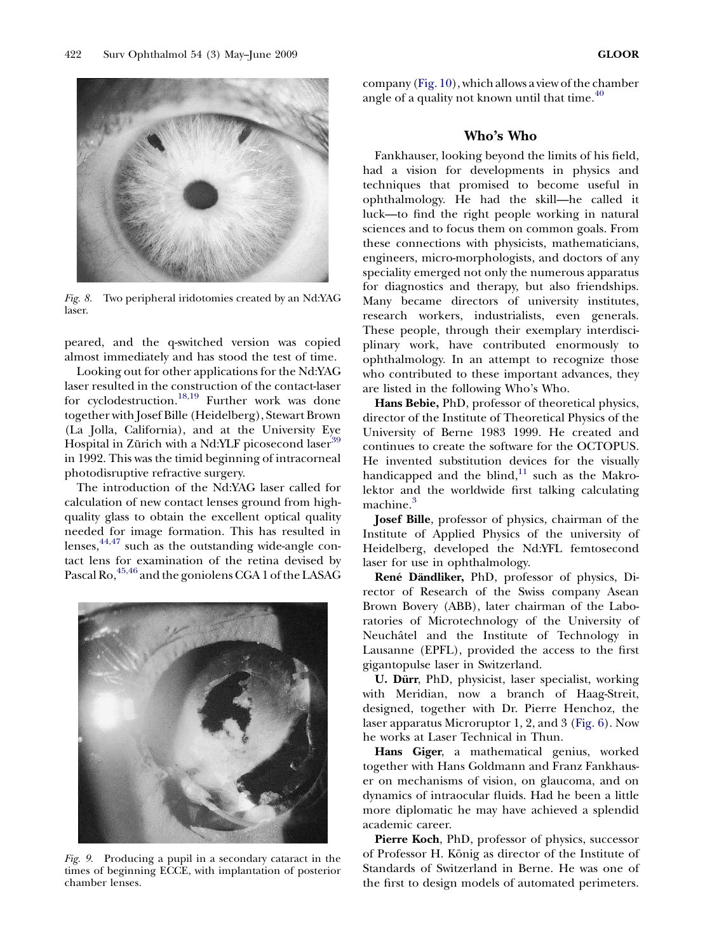<span id="page-5-0"></span>![](_page_5_Picture_2.jpeg)

Fig. 8. Two peripheral iridotomies created by an Nd:YAG laser.

peared, and the q-switched version was copied almost immediately and has stood the test of time.

Looking out for other applications for the Nd:YAG laser resulted in the construction of the contact-laser for cyclodestruction.<sup>[18,19](#page-8-0)</sup> Further work was done together with Josef Bille (Heidelberg), Stewart Brown (La Jolla, California), and at the University Eye Hospital in Zürich with a Nd:YLF picosecond laser<sup>[39](#page-8-0)</sup> in 1992. This was the timid beginning of intracorneal photodisruptive refractive surgery.

The introduction of the Nd:YAG laser called for calculation of new contact lenses ground from highquality glass to obtain the excellent optical quality needed for image formation. This has resulted in lenses, $44,47$  such as the outstanding wide-angle contact lens for examination of the retina devised by Pascal Ro, <sup>[45,46](#page-8-0)</sup> and the goniolens CGA 1 of the LASAG

![](_page_5_Picture_7.jpeg)

Fig. 9. Producing a pupil in a secondary cataract in the times of beginning ECCE, with implantation of posterior chamber lenses.

company ([Fig. 10](#page-6-0)), which allows a view of the chamber angle of a quality not known until that time. $^{40}$  $^{40}$  $^{40}$ 

#### Who's Who

Fankhauser, looking beyond the limits of his field, had a vision for developments in physics and techniques that promised to become useful in ophthalmology. He had the skill—he called it luck—to find the right people working in natural sciences and to focus them on common goals. From these connections with physicists, mathematicians, engineers, micro-morphologists, and doctors of any speciality emerged not only the numerous apparatus for diagnostics and therapy, but also friendships. Many became directors of university institutes, research workers, industrialists, even generals. These people, through their exemplary interdisciplinary work, have contributed enormously to ophthalmology. In an attempt to recognize those who contributed to these important advances, they are listed in the following Who's Who.

Hans Bebie, PhD, professor of theoretical physics, director of the Institute of Theoretical Physics of the University of Berne 1983 1999. He created and continues to create the software for the OCTOPUS. He invented substitution devices for the visually handicapped and the blind, $11$  such as the Makrolektor and the worldwide first talking calculating machine.<sup>[3](#page-7-0)</sup>

Josef Bille, professor of physics, chairman of the Institute of Applied Physics of the university of Heidelberg, developed the Nd:YFL femtosecond laser for use in ophthalmology.

René Dändliker, PhD, professor of physics, Director of Research of the Swiss company Asean Brown Bovery (ABB), later chairman of the Laboratories of Microtechnology of the University of Neuchâtel and the Institute of Technology in Lausanne (EPFL), provided the access to the first gigantopulse laser in Switzerland.

U. Dürr, PhD, physicist, laser specialist, working with Meridian, now a branch of Haag-Streit, designed, together with Dr. Pierre Henchoz, the laser apparatus Microruptor 1, 2, and 3 ([Fig. 6](#page-4-0)). Now he works at Laser Technical in Thun.

Hans Giger, a mathematical genius, worked together with Hans Goldmann and Franz Fankhauser on mechanisms of vision, on glaucoma, and on dynamics of intraocular fluids. Had he been a little more diplomatic he may have achieved a splendid academic career.

Pierre Koch, PhD, professor of physics, successor of Professor H. König as director of the Institute of Standards of Switzerland in Berne. He was one of the first to design models of automated perimeters.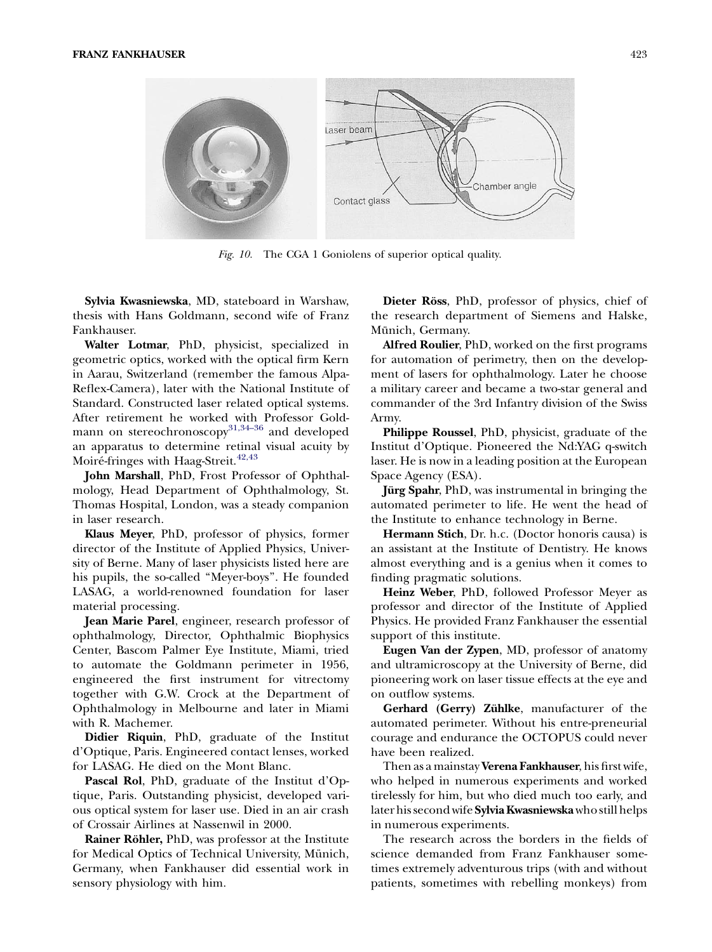<span id="page-6-0"></span>![](_page_6_Figure_1.jpeg)

Fig. 10. The CGA 1 Goniolens of superior optical quality.

Sylvia Kwasniewska, MD, stateboard in Warshaw, thesis with Hans Goldmann, second wife of Franz Fankhauser.

Walter Lotmar, PhD, physicist, specialized in geometric optics, worked with the optical firm Kern in Aarau, Switzerland (remember the famous Alpa-Reflex-Camera), later with the National Institute of Standard. Constructed laser related optical systems. After retirement he worked with Professor Goldmann on stereochronoscopy<sup>31,34-36</sup> and developed an apparatus to determine retinal visual acuity by Moiré-fringes with Haag-Streit.<sup>[42,43](#page-8-0)</sup>

John Marshall, PhD, Frost Professor of Ophthalmology, Head Department of Ophthalmology, St. Thomas Hospital, London, was a steady companion in laser research.

Klaus Meyer, PhD, professor of physics, former director of the Institute of Applied Physics, University of Berne. Many of laser physicists listed here are his pupils, the so-called ''Meyer-boys''. He founded LASAG, a world-renowned foundation for laser material processing.

Jean Marie Parel, engineer, research professor of ophthalmology, Director, Ophthalmic Biophysics Center, Bascom Palmer Eye Institute, Miami, tried to automate the Goldmann perimeter in 1956, engineered the first instrument for vitrectomy together with G.W. Crock at the Department of Ophthalmology in Melbourne and later in Miami with R. Machemer.

Didier Riquin, PhD, graduate of the Institut d'Optique, Paris. Engineered contact lenses, worked for LASAG. He died on the Mont Blanc.

Pascal Rol, PhD, graduate of the Institut d'Optique, Paris. Outstanding physicist, developed various optical system for laser use. Died in an air crash of Crossair Airlines at Nassenwil in 2000.

**Rainer Röhler, PhD, was professor at the Institute** for Medical Optics of Technical University, Münich, Germany, when Fankhauser did essential work in sensory physiology with him.

Dieter Röss, PhD, professor of physics, chief of the research department of Siemens and Halske, Münich, Germany.

Alfred Roulier, PhD, worked on the first programs for automation of perimetry, then on the development of lasers for ophthalmology. Later he choose a military career and became a two-star general and commander of the 3rd Infantry division of the Swiss Army.

Philippe Roussel, PhD, physicist, graduate of the Institut d'Optique. Pioneered the Nd:YAG q-switch laser. He is now in a leading position at the European Space Agency (ESA).

**Jürg Spahr**, PhD, was instrumental in bringing the automated perimeter to life. He went the head of the Institute to enhance technology in Berne.

Hermann Stich, Dr. h.c. (Doctor honoris causa) is an assistant at the Institute of Dentistry. He knows almost everything and is a genius when it comes to finding pragmatic solutions.

Heinz Weber, PhD, followed Professor Meyer as professor and director of the Institute of Applied Physics. He provided Franz Fankhauser the essential support of this institute.

Eugen Van der Zypen, MD, professor of anatomy and ultramicroscopy at the University of Berne, did pioneering work on laser tissue effects at the eye and on outflow systems.

Gerhard (Gerry) Zühlke, manufacturer of the automated perimeter. Without his entre-preneurial courage and endurance the OCTOPUS could never have been realized.

Then as a mainstay Verena Fankhauser, his first wife, who helped in numerous experiments and worked tirelessly for him, but who died much too early, and later his second wife Sylvia Kwasniewska who still helps in numerous experiments.

The research across the borders in the fields of science demanded from Franz Fankhauser sometimes extremely adventurous trips (with and without patients, sometimes with rebelling monkeys) from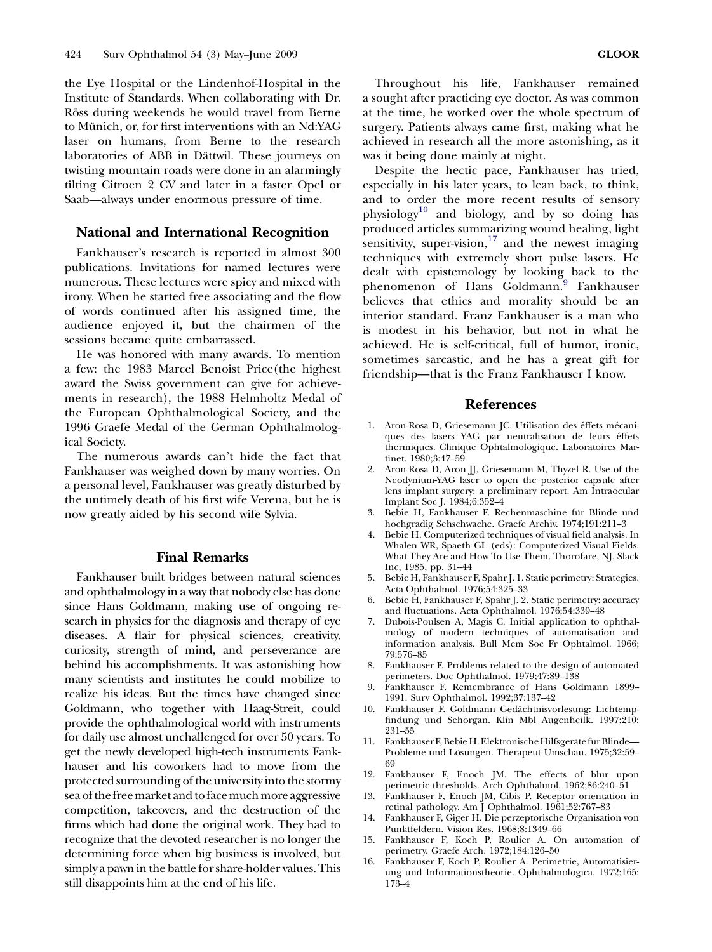<span id="page-7-0"></span>the Eye Hospital or the Lindenhof-Hospital in the Institute of Standards. When collaborating with Dr. Röss during weekends he would travel from Berne to Münich, or, for first interventions with an Nd:YAG laser on humans, from Berne to the research laboratories of ABB in Dättwil. These journeys on twisting mountain roads were done in an alarmingly tilting Citroen 2 CV and later in a faster Opel or Saab—always under enormous pressure of time.

## National and International Recognition

Fankhauser's research is reported in almost 300 publications. Invitations for named lectures were numerous. These lectures were spicy and mixed with irony. When he started free associating and the flow of words continued after his assigned time, the audience enjoyed it, but the chairmen of the sessions became quite embarrassed.

He was honored with many awards. To mention a few: the 1983 Marcel Benoist Price(the highest award the Swiss government can give for achievements in research), the 1988 Helmholtz Medal of the European Ophthalmological Society, and the 1996 Graefe Medal of the German Ophthalmological Society.

The numerous awards can't hide the fact that Fankhauser was weighed down by many worries. On a personal level, Fankhauser was greatly disturbed by the untimely death of his first wife Verena, but he is now greatly aided by his second wife Sylvia.

#### Final Remarks

Fankhauser built bridges between natural sciences and ophthalmology in a way that nobody else has done since Hans Goldmann, making use of ongoing research in physics for the diagnosis and therapy of eye diseases. A flair for physical sciences, creativity, curiosity, strength of mind, and perseverance are behind his accomplishments. It was astonishing how many scientists and institutes he could mobilize to realize his ideas. But the times have changed since Goldmann, who together with Haag-Streit, could provide the ophthalmological world with instruments for daily use almost unchallenged for over 50 years. To get the newly developed high-tech instruments Fankhauser and his coworkers had to move from the protected surrounding of the university into the stormy sea of the free market and to face much more aggressive competition, takeovers, and the destruction of the firms which had done the original work. They had to recognize that the devoted researcher is no longer the determining force when big business is involved, but simply a pawn in the battle for share-holder values. This still disappoints him at the end of his life.

Despite the hectic pace, Fankhauser has tried, especially in his later years, to lean back, to think, and to order the more recent results of sensory physiology<sup>10</sup> and biology, and by so doing has produced articles summarizing wound healing, light sensitivity, super-vision, $17$  and the newest imaging techniques with extremely short pulse lasers. He dealt with epistemology by looking back to the phenomenon of Hans Goldmann.<sup>9</sup> Fankhauser believes that ethics and morality should be an interior standard. Franz Fankhauser is a man who is modest in his behavior, but not in what he achieved. He is self-critical, full of humor, ironic, sometimes sarcastic, and he has a great gift for friendship—that is the Franz Fankhauser I know.

#### References

- 1. Aron-Rosa D, Griesemann JC. Utilisation des éffets mécaniques des lasers YAG par neutralisation de leurs éffets thermiques. Clinique Ophtalmologique. Laboratoires Martinet. 1980;3:47-59
- 2. Aron-Rosa D, Aron JJ, Griesemann M, Thyzel R. Use of the Neodynium-YAG laser to open the posterior capsule after lens implant surgery: a preliminary report. Am Intraocular Implant Soc J. 1984;6:352-4
- 3. Bebie H, Fankhauser F. Rechenmaschine für Blinde und hochgradig Sehschwache. Graefe Archiv. 1974;191:211-3
- 4. Bebie H. Computerized techniques of visual field analysis. In Whalen WR, Spaeth GL (eds): Computerized Visual Fields. What They Are and How To Use Them. Thorofare, NJ, Slack Inc, 1985, pp. 31-44
- 5. Bebie H, Fankhauser F, Spahr J. 1. Static perimetry: Strategies. Acta Ophthalmol. 1976;54:325-33
- 6. Bebie H, Fankhauser F, Spahr J. 2. Static perimetry: accuracy and fluctuations. Acta Ophthalmol. 1976;54:339-48
- 7. Dubois-Poulsen A, Magis C. Initial application to ophthalmology of modern techniques of automatisation and information analysis. Bull Mem Soc Fr Ophtalmol. 1966; 79:576-85
- 8. Fankhauser F. Problems related to the design of automated perimeters. Doc Ophthalmol. 1979;47:89-138
- 9. Fankhauser F. Remembrance of Hans Goldmann 1899-- 1991. Surv Ophthalmol. 1992;37:137--42
- 10. Fankhauser F. Goldmann Gedächtnisvorlesung: Lichtempfindung und Sehorgan. Klin Mbl Augenheilk. 1997;210: 931-55
- 11. Fankhauser F, Bebie H. Elektronische Hilfsgeräte für Blinde-Probleme und Lösungen. Therapeut Umschau. 1975;32:59-69
- 12. Fankhauser F, Enoch JM. The effects of blur upon perimetric thresholds. Arch Ophthalmol. 1962;86:240-51
- 13. Fankhauser F, Enoch JM, Cibis P. Receptor orientation in retinal pathology. Am J Ophthalmol. 1961;52:767-83
- 14. Fankhauser F, Giger H. Die perzeptorische Organisation von Punktfeldern. Vision Res. 1968;8:1349--66
- 15. Fankhauser F, Koch P, Roulier A. On automation of perimetry. Graefe Arch. 1972;184:126-50
- 16. Fankhauser F, Koch P, Roulier A. Perimetrie, Automatisierung und Informationstheorie. Ophthalmologica. 1972;165: 173-4